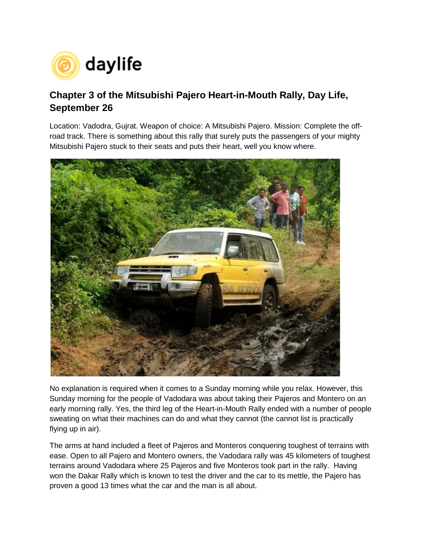

## **Chapter 3 of the Mitsubishi Pajero Heart-in-Mouth Rally, Day Life, September 26**

Location: Vadodra, Gujrat. Weapon of choice: A Mitsubishi Pajero. Mission: Complete the offroad track. There is something about this rally that surely puts the passengers of your mighty Mitsubishi Pajero stuck to their seats and puts their heart, well you know where.



No explanation is required when it comes to a Sunday morning while you relax. However, this Sunday morning for the people of Vadodara was about taking their Pajeros and Montero on an early morning rally. Yes, the third leg of the Heart-in-Mouth Rally ended with a number of people sweating on what their machines can do and what they cannot (the cannot list is practically flying up in air).

The arms at hand included a fleet of Pajeros and Monteros conquering toughest of terrains with ease. Open to all Pajero and Montero owners, the Vadodara rally was 45 kilometers of toughest terrains around Vadodara where 25 Pajeros and five Monteros took part in the rally. Having won the Dakar Rally which is known to test the driver and the car to its mettle, the Pajero has proven a good 13 times what the car and the man is all about.